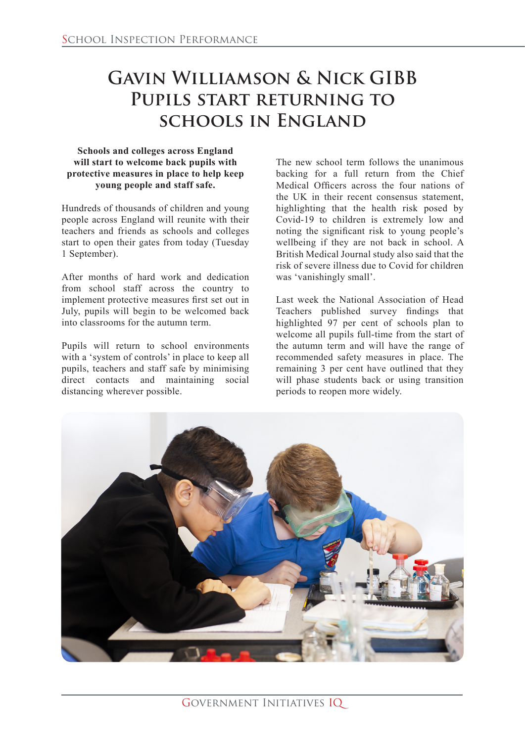## **Gavin Williamson & Nick GIBB Pupils start returning to schools in England**

## **Schools and colleges across England will start to welcome back pupils with protective measures in place to help keep young people and staff safe.**

Hundreds of thousands of children and young people across England will reunite with their teachers and friends as schools and colleges start to open their gates from today (Tuesday 1 September).

After months of hard work and dedication from school staff across the country to implement protective measures first set out in July, pupils will begin to be welcomed back into classrooms for the autumn term.

Pupils will return to school environments with a 'system of controls' in place to keep all pupils, teachers and staff safe by minimising direct contacts and maintaining social distancing wherever possible.

The new school term follows the unanimous backing for a full return from the Chief Medical Officers across the four nations of the UK in their recent consensus statement, highlighting that the health risk posed by Covid-19 to children is extremely low and noting the significant risk to young people's wellbeing if they are not back in school. A British Medical Journal study also said that the risk of severe illness due to Covid for children was 'vanishingly small'.

Last week the National Association of Head Teachers published survey findings that highlighted 97 per cent of schools plan to welcome all pupils full-time from the start of the autumn term and will have the range of recommended safety measures in place. The remaining 3 per cent have outlined that they will phase students back or using transition periods to reopen more widely.